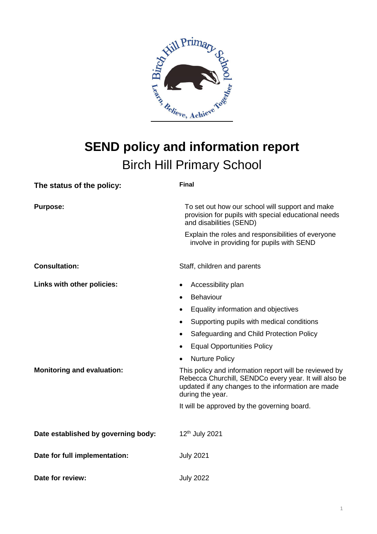

# **SEND policy and information report** Birch Hill Primary School

| The status of the policy:           | <b>Final</b>                                                                                                                                                                              |
|-------------------------------------|-------------------------------------------------------------------------------------------------------------------------------------------------------------------------------------------|
| <b>Purpose:</b>                     | To set out how our school will support and make<br>provision for pupils with special educational needs<br>and disabilities (SEND)                                                         |
|                                     | Explain the roles and responsibilities of everyone<br>involve in providing for pupils with SEND                                                                                           |
| <b>Consultation:</b>                | Staff, children and parents                                                                                                                                                               |
| Links with other policies:          | Accessibility plan<br>$\bullet$                                                                                                                                                           |
|                                     | Behaviour<br>$\bullet$                                                                                                                                                                    |
|                                     | Equality information and objectives                                                                                                                                                       |
|                                     | Supporting pupils with medical conditions<br>$\bullet$                                                                                                                                    |
|                                     | Safeguarding and Child Protection Policy<br>$\bullet$                                                                                                                                     |
|                                     | <b>Equal Opportunities Policy</b>                                                                                                                                                         |
|                                     | <b>Nurture Policy</b>                                                                                                                                                                     |
| <b>Monitoring and evaluation:</b>   | This policy and information report will be reviewed by<br>Rebecca Churchill, SENDCo every year. It will also be<br>updated if any changes to the information are made<br>during the year. |
|                                     | It will be approved by the governing board.                                                                                                                                               |
| Date established by governing body: | 12 <sup>th</sup> July 2021                                                                                                                                                                |
| Date for full implementation:       | <b>July 2021</b>                                                                                                                                                                          |
| Date for review:                    | <b>July 2022</b>                                                                                                                                                                          |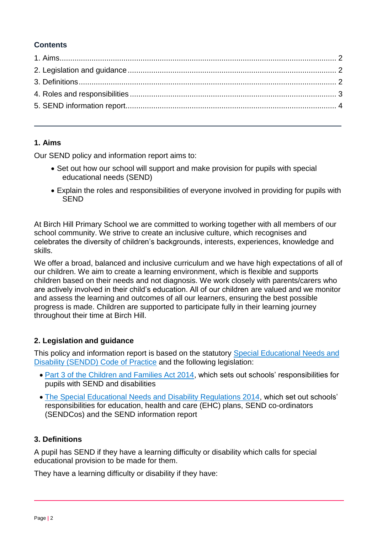# **Contents**

## <span id="page-1-0"></span>**1. Aims**

Our SEND policy and information report aims to:

- Set out how our school will support and make provision for pupils with special educational needs (SEND)
- Explain the roles and responsibilities of everyone involved in providing for pupils with **SEND**

At Birch Hill Primary School we are committed to working together with all members of our school community. We strive to create an inclusive culture, which recognises and celebrates the diversity of children's backgrounds, interests, experiences, knowledge and skills.

We offer a broad, balanced and inclusive curriculum and we have high expectations of all of our children. We aim to create a learning environment, which is flexible and supports children based on their needs and not diagnosis. We work closely with parents/carers who are actively involved in their child's education. All of our children are valued and we monitor and assess the learning and outcomes of all our learners, ensuring the best possible progress is made. Children are supported to participate fully in their learning journey throughout their time at Birch Hill.

## <span id="page-1-1"></span>**2. Legislation and guidance**

This policy and information report is based on the statutory [Special Educational Needs and](https://www.gov.uk/government/uploads/system/uploads/attachment_data/file/398815/SEND_Code_of_Practice_January_2015.pdf)  [Disability \(SENDD\) Code of Practice](https://www.gov.uk/government/uploads/system/uploads/attachment_data/file/398815/SEND_Code_of_Practice_January_2015.pdf) and the following legislation:

- [Part 3 of the Children and Families Act 2014,](http://www.legislation.gov.uk/ukpga/2014/6/part/3) which sets out schools' responsibilities for pupils with SEND and disabilities
- [The Special Educational Needs and Disability Regulations 2014,](http://www.legislation.gov.uk/uksi/2014/1530/contents/made) which set out schools' responsibilities for education, health and care (EHC) plans, SEND co-ordinators (SENDCos) and the SEND information report

## <span id="page-1-2"></span>**3. Definitions**

A pupil has SEND if they have a learning difficulty or disability which calls for special educational provision to be made for them.

They have a learning difficulty or disability if they have: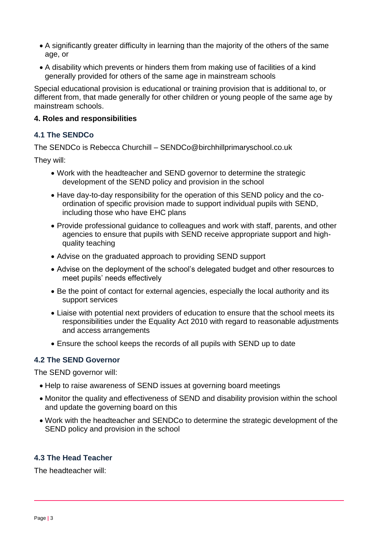- A significantly greater difficulty in learning than the majority of the others of the same age, or
- A disability which prevents or hinders them from making use of facilities of a kind generally provided for others of the same age in mainstream schools

Special educational provision is educational or training provision that is additional to, or different from, that made generally for other children or young people of the same age by mainstream schools.

#### <span id="page-2-0"></span>**4. Roles and responsibilities**

#### **4.1 The SENDCo**

The SENDCo is Rebecca Churchill – SENDCo@birchhillprimaryschool.co.uk

They will:

- Work with the headteacher and SEND governor to determine the strategic development of the SEND policy and provision in the school
- Have day-to-day responsibility for the operation of this SEND policy and the coordination of specific provision made to support individual pupils with SEND, including those who have EHC plans
- Provide professional guidance to colleagues and work with staff, parents, and other agencies to ensure that pupils with SEND receive appropriate support and highquality teaching
- Advise on the graduated approach to providing SEND support
- Advise on the deployment of the school's delegated budget and other resources to meet pupils' needs effectively
- Be the point of contact for external agencies, especially the local authority and its support services
- Liaise with potential next providers of education to ensure that the school meets its responsibilities under the Equality Act 2010 with regard to reasonable adjustments and access arrangements
- Ensure the school keeps the records of all pupils with SEND up to date

## **4.2 The SEND Governor**

The SEND governor will:

- Help to raise awareness of SEND issues at governing board meetings
- Monitor the quality and effectiveness of SEND and disability provision within the school and update the governing board on this
- Work with the headteacher and SENDCo to determine the strategic development of the SEND policy and provision in the school

## **4.3 The Head Teacher**

The headteacher will: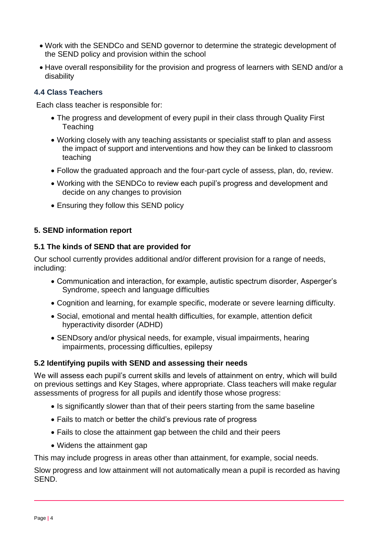- Work with the SENDCo and SEND governor to determine the strategic development of the SEND policy and provision within the school
- Have overall responsibility for the provision and progress of learners with SEND and/or a disability

## **4.4 Class Teachers**

Each class teacher is responsible for:

- The progress and development of every pupil in their class through Quality First **Teaching**
- Working closely with any teaching assistants or specialist staff to plan and assess the impact of support and interventions and how they can be linked to classroom teaching
- Follow the graduated approach and the four-part cycle of assess, plan, do, review.
- Working with the SENDCo to review each pupil's progress and development and decide on any changes to provision
- Ensuring they follow this SEND policy

## <span id="page-3-0"></span>**5. SEND information report**

#### **5.1 The kinds of SEND that are provided for**

Our school currently provides additional and/or different provision for a range of needs, including:

- Communication and interaction, for example, autistic spectrum disorder, Asperger's Syndrome, speech and language difficulties
- Cognition and learning, for example specific, moderate or severe learning difficulty.
- Social, emotional and mental health difficulties, for example, attention deficit hyperactivity disorder (ADHD)
- SENDsory and/or physical needs, for example, visual impairments, hearing impairments, processing difficulties, epilepsy

## **5.2 Identifying pupils with SEND and assessing their needs**

We will assess each pupil's current skills and levels of attainment on entry, which will build on previous settings and Key Stages, where appropriate. Class teachers will make regular assessments of progress for all pupils and identify those whose progress:

- Is significantly slower than that of their peers starting from the same baseline
- Fails to match or better the child's previous rate of progress
- Fails to close the attainment gap between the child and their peers
- Widens the attainment gap

This may include progress in areas other than attainment, for example, social needs.

Slow progress and low attainment will not automatically mean a pupil is recorded as having SEND.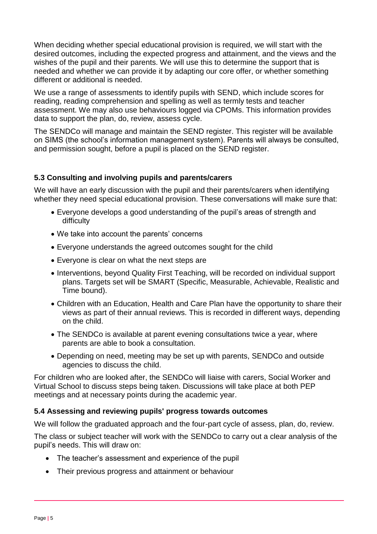When deciding whether special educational provision is required, we will start with the desired outcomes, including the expected progress and attainment, and the views and the wishes of the pupil and their parents. We will use this to determine the support that is needed and whether we can provide it by adapting our core offer, or whether something different or additional is needed.

We use a range of assessments to identify pupils with SEND, which include scores for reading, reading comprehension and spelling as well as termly tests and teacher assessment. We may also use behaviours logged via CPOMs. This information provides data to support the plan, do, review, assess cycle.

The SENDCo will manage and maintain the SEND register. This register will be available on SIMS (the school's information management system). Parents will always be consulted, and permission sought, before a pupil is placed on the SEND register.

## **5.3 Consulting and involving pupils and parents/carers**

We will have an early discussion with the pupil and their parents/carers when identifying whether they need special educational provision. These conversations will make sure that:

- Everyone develops a good understanding of the pupil's areas of strength and difficulty
- We take into account the parents' concerns
- Everyone understands the agreed outcomes sought for the child
- Everyone is clear on what the next steps are
- Interventions, beyond Quality First Teaching, will be recorded on individual support plans. Targets set will be SMART (Specific, Measurable, Achievable, Realistic and Time bound).
- Children with an Education, Health and Care Plan have the opportunity to share their views as part of their annual reviews. This is recorded in different ways, depending on the child.
- The SENDCo is available at parent evening consultations twice a year, where parents are able to book a consultation.
- Depending on need, meeting may be set up with parents, SENDCo and outside agencies to discuss the child.

For children who are looked after, the SENDCo will liaise with carers, Social Worker and Virtual School to discuss steps being taken. Discussions will take place at both PEP meetings and at necessary points during the academic year.

## **5.4 Assessing and reviewing pupils' progress towards outcomes**

We will follow the graduated approach and the four-part cycle of assess, plan, do, review.

The class or subject teacher will work with the SENDCo to carry out a clear analysis of the pupil's needs. This will draw on:

- The teacher's assessment and experience of the pupil
- Their previous progress and attainment or behaviour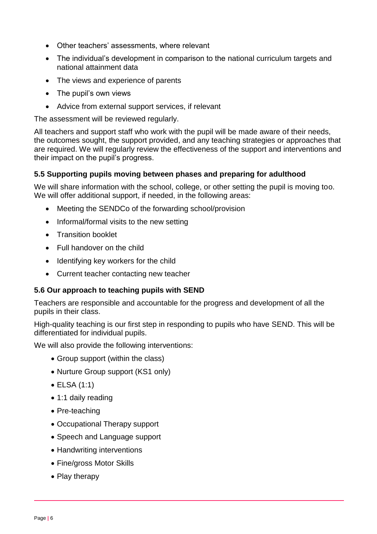- Other teachers' assessments, where relevant
- The individual's development in comparison to the national curriculum targets and national attainment data
- The views and experience of parents
- The pupil's own views
- Advice from external support services, if relevant

The assessment will be reviewed regularly.

All teachers and support staff who work with the pupil will be made aware of their needs, the outcomes sought, the support provided, and any teaching strategies or approaches that are required. We will regularly review the effectiveness of the support and interventions and their impact on the pupil's progress.

#### **5.5 Supporting pupils moving between phases and preparing for adulthood**

We will share information with the school, college, or other setting the pupil is moving too. We will offer additional support, if needed, in the following areas:

- Meeting the SENDCo of the forwarding school/provision
- Informal/formal visits to the new setting
- Transition booklet
- Full handover on the child
- Identifying key workers for the child
- Current teacher contacting new teacher

#### **5.6 Our approach to teaching pupils with SEND**

Teachers are responsible and accountable for the progress and development of all the pupils in their class.

High-quality teaching is our first step in responding to pupils who have SEND. This will be differentiated for individual pupils.

We will also provide the following interventions:

- Group support (within the class)
- Nurture Group support (KS1 only)
- ELSA (1:1)
- 1:1 daily reading
- Pre-teaching
- Occupational Therapy support
- Speech and Language support
- Handwriting interventions
- Fine/gross Motor Skills
- Play therapy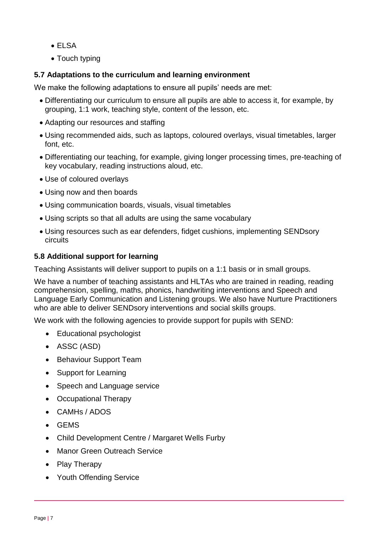- ELSA
- Touch typing

## **5.7 Adaptations to the curriculum and learning environment**

We make the following adaptations to ensure all pupils' needs are met:

- Differentiating our curriculum to ensure all pupils are able to access it, for example, by grouping, 1:1 work, teaching style, content of the lesson, etc.
- Adapting our resources and staffing
- Using recommended aids, such as laptops, coloured overlays, visual timetables, larger font, etc.
- Differentiating our teaching, for example, giving longer processing times, pre-teaching of key vocabulary, reading instructions aloud, etc.
- Use of coloured overlays
- Using now and then boards
- Using communication boards, visuals, visual timetables
- Using scripts so that all adults are using the same vocabulary
- Using resources such as ear defenders, fidget cushions, implementing SENDsory circuits

## **5.8 Additional support for learning**

Teaching Assistants will deliver support to pupils on a 1:1 basis or in small groups.

We have a number of teaching assistants and HLTAs who are trained in reading, reading comprehension, spelling, maths, phonics, handwriting interventions and Speech and Language Early Communication and Listening groups. We also have Nurture Practitioners who are able to deliver SENDsory interventions and social skills groups.

We work with the following agencies to provide support for pupils with SEND:

- Educational psychologist
- ASSC (ASD)
- Behaviour Support Team
- Support for Learning
- Speech and Language service
- Occupational Therapy
- CAMHs / ADOS
- GEMS
- Child Development Centre / Margaret Wells Furby
- Manor Green Outreach Service
- Play Therapy
- Youth Offending Service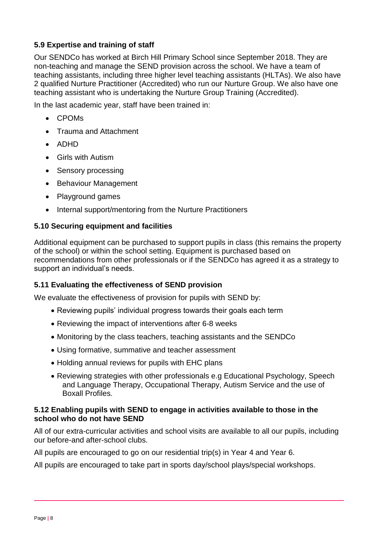## **5.9 Expertise and training of staff**

Our SENDCo has worked at Birch Hill Primary School since September 2018. They are non-teaching and manage the SEND provision across the school. We have a team of teaching assistants, including three higher level teaching assistants (HLTAs). We also have 2 qualified Nurture Practitioner (Accredited) who run our Nurture Group. We also have one teaching assistant who is undertaking the Nurture Group Training (Accredited).

In the last academic year, staff have been trained in:

- CPOMs
- Trauma and Attachment
- ADHD
- Girls with Autism
- Sensory processing
- Behaviour Management
- Playground games
- Internal support/mentoring from the Nurture Practitioners

## **5.10 Securing equipment and facilities**

Additional equipment can be purchased to support pupils in class (this remains the property of the school) or within the school setting. Equipment is purchased based on recommendations from other professionals or if the SENDCo has agreed it as a strategy to support an individual's needs.

## **5.11 Evaluating the effectiveness of SEND provision**

We evaluate the effectiveness of provision for pupils with SEND by:

- Reviewing pupils' individual progress towards their goals each term
- Reviewing the impact of interventions after 6-8 weeks
- Monitoring by the class teachers, teaching assistants and the SENDCo
- Using formative, summative and teacher assessment
- Holding annual reviews for pupils with EHC plans
- Reviewing strategies with other professionals e.g Educational Psychology, Speech and Language Therapy, Occupational Therapy, Autism Service and the use of Boxall Profiles.

#### **5.12 Enabling pupils with SEND to engage in activities available to those in the school who do not have SEND**

All of our extra-curricular activities and school visits are available to all our pupils, including our before-and after-school clubs.

All pupils are encouraged to go on our residential trip(s) in Year 4 and Year 6.

All pupils are encouraged to take part in sports day/school plays/special workshops.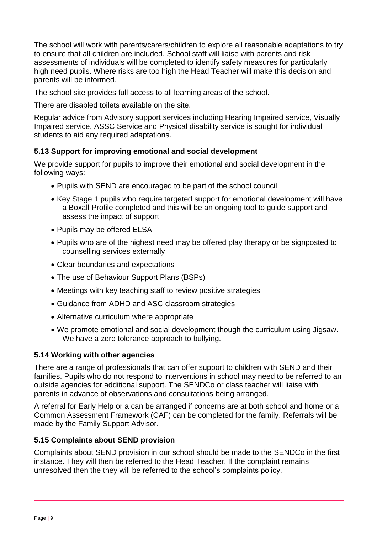The school will work with parents/carers/children to explore all reasonable adaptations to try to ensure that all children are included. School staff will liaise with parents and risk assessments of individuals will be completed to identify safety measures for particularly high need pupils. Where risks are too high the Head Teacher will make this decision and parents will be informed.

The school site provides full access to all learning areas of the school.

There are disabled toilets available on the site.

Regular advice from Advisory support services including Hearing Impaired service, Visually Impaired service, ASSC Service and Physical disability service is sought for individual students to aid any required adaptations.

## **5.13 Support for improving emotional and social development**

We provide support for pupils to improve their emotional and social development in the following ways:

- Pupils with SEND are encouraged to be part of the school council
- Key Stage 1 pupils who require targeted support for emotional development will have a Boxall Profile completed and this will be an ongoing tool to guide support and assess the impact of support
- Pupils may be offered ELSA
- Pupils who are of the highest need may be offered play therapy or be signposted to counselling services externally
- Clear boundaries and expectations
- The use of Behaviour Support Plans (BSPs)
- Meetings with key teaching staff to review positive strategies
- Guidance from ADHD and ASC classroom strategies
- Alternative curriculum where appropriate
- We promote emotional and social development though the curriculum using Jigsaw. We have a zero tolerance approach to bullying.

## **5.14 Working with other agencies**

There are a range of professionals that can offer support to children with SEND and their families. Pupils who do not respond to interventions in school may need to be referred to an outside agencies for additional support. The SENDCo or class teacher will liaise with parents in advance of observations and consultations being arranged.

A referral for Early Help or a can be arranged if concerns are at both school and home or a Common Assessment Framework (CAF) can be completed for the family. Referrals will be made by the Family Support Advisor.

## **5.15 Complaints about SEND provision**

Complaints about SEND provision in our school should be made to the SENDCo in the first instance. They will then be referred to the Head Teacher. If the complaint remains unresolved then the they will be referred to the school's complaints policy.